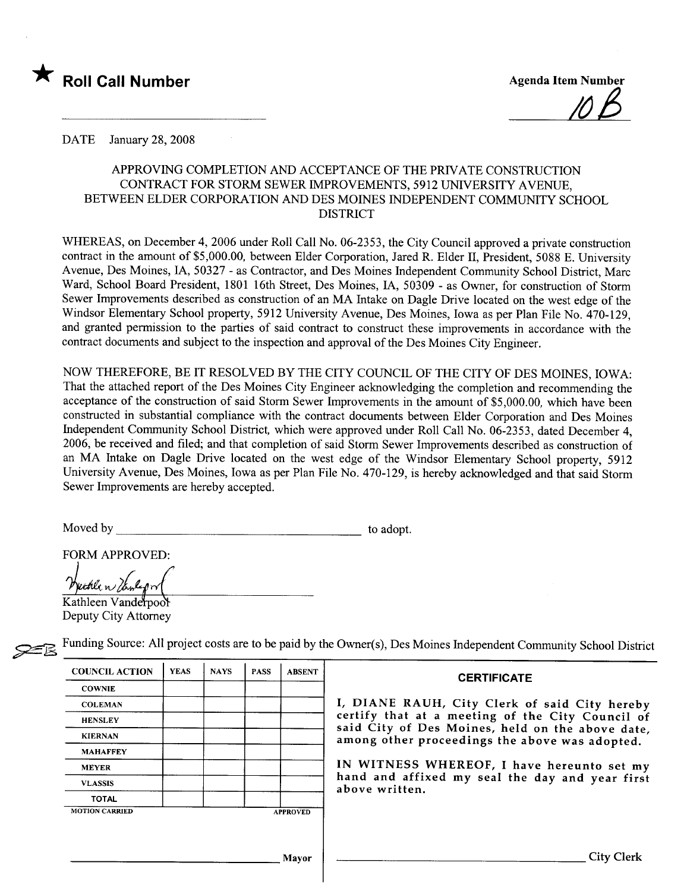

DATE January 28, 2008

## APPROVING COMPLETION AND ACCEPTANCE OF THE PRIVATE CONSTRUCTION CONTRACT FOR STORM SEWER IMPROVEMENTS, 5912 UNIVERSITY AVENUE, BETWEEN ELDER CORPORATION AND DES MOINES INDEPENDENT COMMUNITY SCHOOL DISTRICT

WHEREAS, on December 4, 2006 under Roll Call No. 06-2353, the City Council approved a private construction contract in the amount of \$5,000.00, between Elder Corporation, Jared R. Elder II, President, 5088 E. University Avenue, Des Moines, IA, 50327 - as Contractor, and Des Moines Independent Community School District, Marc Ward, School Board President, 1801 16th Street, Des Moines, IA, 50309 - as Owner, for construction of Storm Sewer Improvements described as construction of an MA Intake on Dagle Drive located on the west edge of the Windsor Elementary School property, 5912 University Avenue, Des Moines, Iowa as per Plan File No. 470-129, and granted permission to the parties of said contract to construct these improvements in accordance with the contract documents and subject to the inspection and approval of the Des Moines City Engineer.

NOW THEREFORE, BE IT RESOLVED BY THE CITY COUNCIL OF THE CITY OF DES MOINES, IOWA: That the attached report of the Des Moines City Engineer acknowledging the completion and recommending the acceptance of the construction of said Storm Sewer Improvements in the amount of \$5,000.00, which have been constructed in substantial compliance with the contract documents between Elder Corporation and Des Moines Independent Community School District, which were approved under Roll Call No. 06-2353, dated December 4, 2006, be received and filed; and that completion of said Storm Sewer Improvements described as construction of an MA Intake on Dagle Drive located on the west edge of the Windsor Elementary School property, 5912 University Avenue, Des Moines, Iowa as per Plan File No. 470-129, is hereby acknowledged and that said Storm Sewer Improvements are hereby accepted.

Moved by to adopt.

FORM APPROVED:<br>
Vuckle v Youly of

Kathleen Vanderpool Deputy City Attorney

| <b>COUNCIL ACTION</b> | <b>YEAS</b> | <b>NAYS</b> | <b>PASS</b> | <b>ABSENT</b>   | <b>CERTIFICATE</b>                                                                                 |  |  |  |  |
|-----------------------|-------------|-------------|-------------|-----------------|----------------------------------------------------------------------------------------------------|--|--|--|--|
| <b>COWNIE</b>         |             |             |             |                 |                                                                                                    |  |  |  |  |
| <b>COLEMAN</b>        |             |             |             |                 | I, DIANE RAUH, City Clerk o                                                                        |  |  |  |  |
| <b>HENSLEY</b>        |             |             |             |                 | certify that at a meeting of tl<br>said City of Des Moines, held<br>among other proceedings the al |  |  |  |  |
| <b>KIERNAN</b>        |             |             |             |                 |                                                                                                    |  |  |  |  |
| <b>MAHAFFEY</b>       |             |             |             |                 |                                                                                                    |  |  |  |  |
| <b>MEYER</b>          |             |             |             |                 | IN WITNESS WHEREOF, I hav<br>hand and affixed my seal the<br>above written.                        |  |  |  |  |
| <b>VLASSIS</b>        |             |             |             |                 |                                                                                                    |  |  |  |  |
| <b>TOTAL</b>          |             |             |             |                 |                                                                                                    |  |  |  |  |
| <b>MOTION CARRIED</b> |             |             |             | <b>APPROVED</b> |                                                                                                    |  |  |  |  |

Funding Source: All project costs are to be paid by the Owner(s), Des Moines Independent Community School District

I, DIANE RAUH, City Clerk of said City hereby certify that at a meeting of the City Council of said City of Des Moines, held on the above date, among other proceedings the above was adopted.

IN WITNESS WHEREOF, I have hereunto set my hand and affixed my seal the day and year first above written.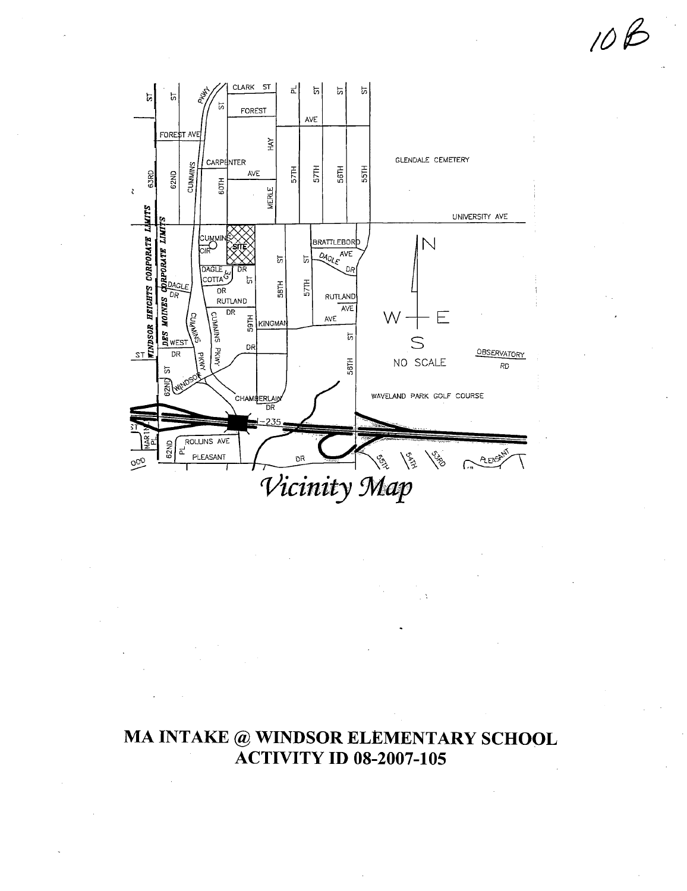

10B

# MA INTAKE @ WINDSOR ELEMENTARY SCHOOL **ACTIVITY ID 08-2007-105**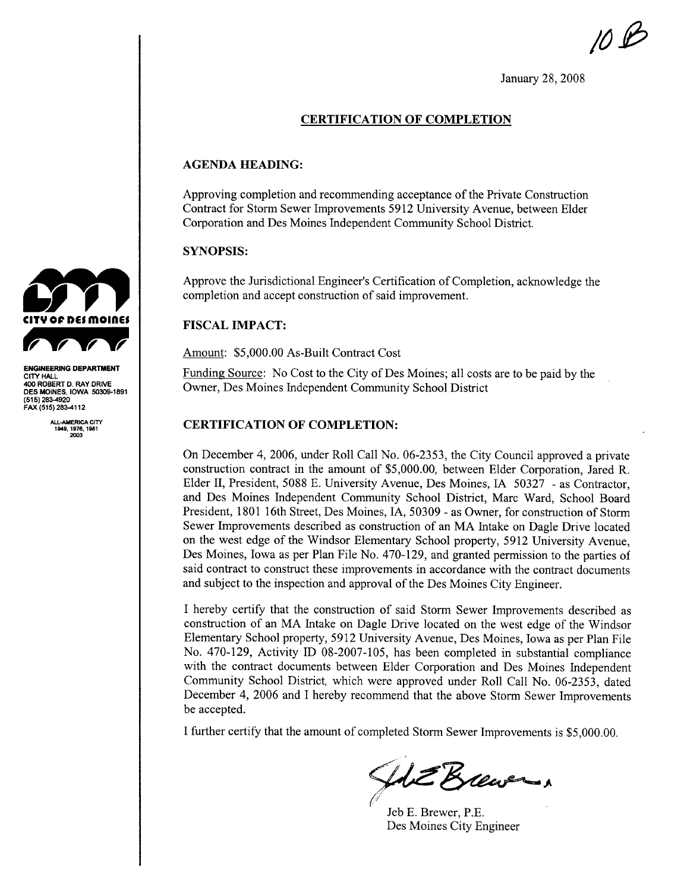$10B$ 

January 28, 2008

### CERTIFICATION OF COMPLETION

#### AGENDA HEADING:

Approving completion and recommending acceptance of the Private Construction Contract for Storm Sewer Improvements 5912 University Avenue, between Elder Corporation and Des Moines Independent Community School District.

#### SYNOPSIS:

Approve the Jurisdictional Engineer's Certification of Completion, acknowledge the completion and accept construction of said improvement.

#### FISCAL IMPACT:

Amount: \$5,000.00 As-Built Contract Cost

Funding Source: No Cost to the City of Des Moines; all costs are to be paid by the Owner, Des Moines Independent Community School District

#### CERTIFICATION OF COMPLETION:

On December 4,2006, under Roll Call No. 06-2353, the City Council approved a private construction contract in the amount of  $$5,000.00$ , between Elder Corporation, Jared R. Elder II, President, 5088 E. University Avenue, Des Moines, IA 50327 - as Contractor, and Des Moines Independent Community School District, Marc Ward, School Board President, 1801 16th Street, Des Moines, IA, 50309 - as Owner, for construction of Storm Sewer Improvements described as construction of an MA Intake on Dagle Drive located on the west edge of the Windsor Elementary School property, 5912 University Avenue, Des Moines, Iowa as per Plan File No. 470-129, and granted permission to the parties of said contract to construct these improvements in accordance with the contract documents and subject to the inspection and approval of the Des Moines City Engineer.

I hereby certify that the construction of said Storm Sewer Improvements described as construction of an MA Intake on Dagle Drive located on the west edge of the Windsor Elementary School propert, 5912 University Avenue, Des Moines, Iowa as per Plan File No. 470-129, Activity ID 08-2007-105, has been completed in substantial compliance with the contract documents between Elder Corporation and Des Moines Independent Community School District, which were approved under Roll Call No. 06-2353, dated December 4, 2006 and I hereby recommend that the above Storm Sewer Improvements be accepted.

I further certify that the amount of completed Storm Sewer Improvements is \$5,000.00.

~~~ Jeb E. Brewer, P.E.

Des Moines City Engineer



CITY HALL 400 ROBERT D. RAY ORNE DES MOINES. IOWA 50309-1891 (515) 283-4920 FAX (515) 283-4112

ALL-AMERICA CITY<br>1949, 1976, 1981<br>2003